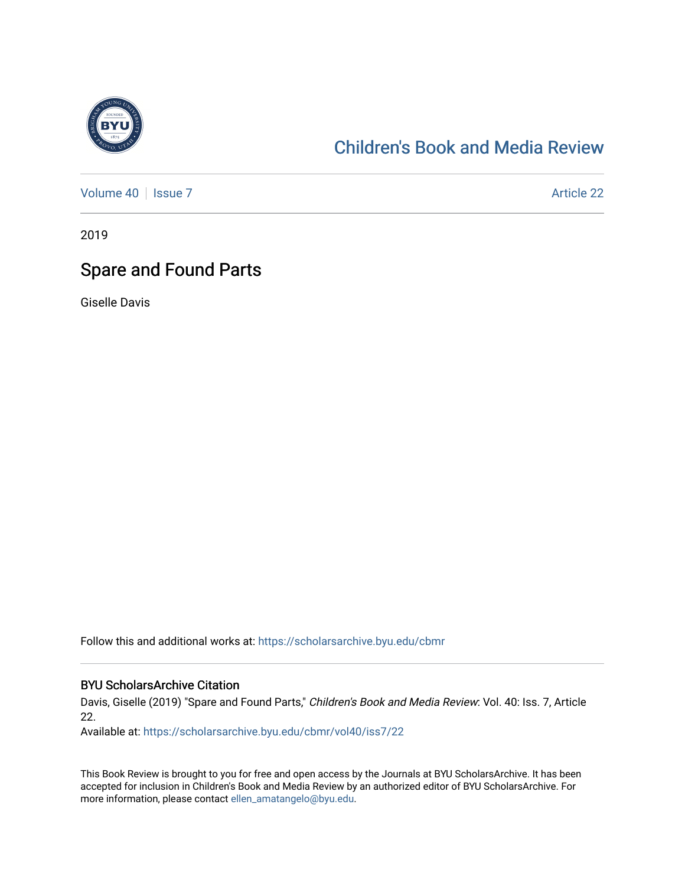

## [Children's Book and Media Review](https://scholarsarchive.byu.edu/cbmr)

[Volume 40](https://scholarsarchive.byu.edu/cbmr/vol40) | [Issue 7](https://scholarsarchive.byu.edu/cbmr/vol40/iss7) Article 22

2019

## Spare and Found Parts

Giselle Davis

Follow this and additional works at: [https://scholarsarchive.byu.edu/cbmr](https://scholarsarchive.byu.edu/cbmr?utm_source=scholarsarchive.byu.edu%2Fcbmr%2Fvol40%2Fiss7%2F22&utm_medium=PDF&utm_campaign=PDFCoverPages) 

## BYU ScholarsArchive Citation

Davis, Giselle (2019) "Spare and Found Parts," Children's Book and Media Review: Vol. 40: Iss. 7, Article 22.

Available at: [https://scholarsarchive.byu.edu/cbmr/vol40/iss7/22](https://scholarsarchive.byu.edu/cbmr/vol40/iss7/22?utm_source=scholarsarchive.byu.edu%2Fcbmr%2Fvol40%2Fiss7%2F22&utm_medium=PDF&utm_campaign=PDFCoverPages)

This Book Review is brought to you for free and open access by the Journals at BYU ScholarsArchive. It has been accepted for inclusion in Children's Book and Media Review by an authorized editor of BYU ScholarsArchive. For more information, please contact [ellen\\_amatangelo@byu.edu.](mailto:ellen_amatangelo@byu.edu)